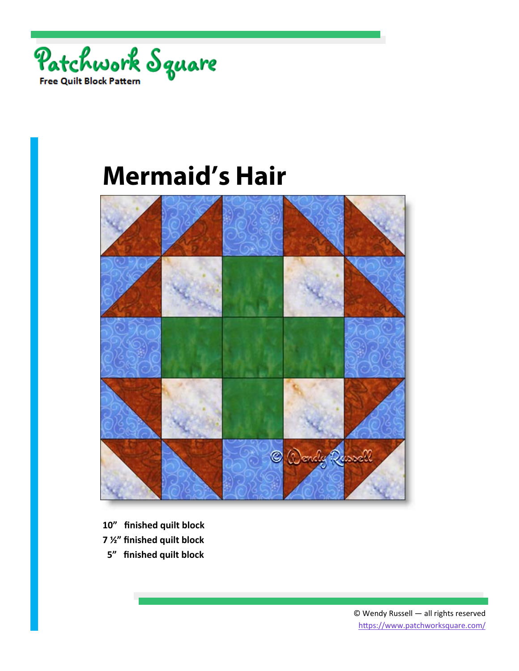



- **10" finished quilt block**
- **7 ½" finished quilt block**
- **5" finished quilt block**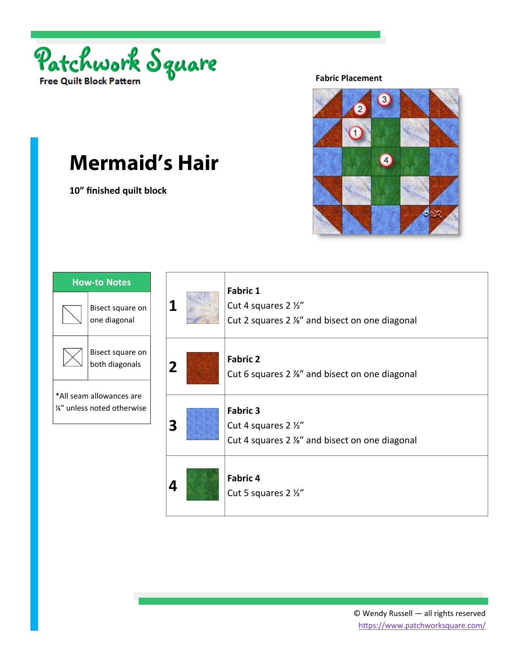

**10" finished quilt block** 

#### **Fabric Placement**



| <b>How-to Notes</b>                                   |                                    |
|-------------------------------------------------------|------------------------------------|
|                                                       | Bisect square on<br>one diagonal   |
|                                                       | Bisect square on<br>both diagonals |
| *All seam allowances are<br>¼" unless noted otherwise |                                    |
|                                                       |                                    |

|                | <b>Fabric 1</b><br>Cut 4 squares 2 1/2"<br>Cut 2 squares 2 %" and bisect on one diagonal |
|----------------|------------------------------------------------------------------------------------------|
| $\overline{2}$ | <b>Fabric 2</b><br>Cut 6 squares 2 %" and bisect on one diagonal                         |
| 3              | <b>Fabric 3</b><br>Cut 4 squares 2 1/2"<br>Cut 4 squares 2 %" and bisect on one diagonal |
|                | <b>Fabric 4</b><br>Cut 5 squares 2 1/2"                                                  |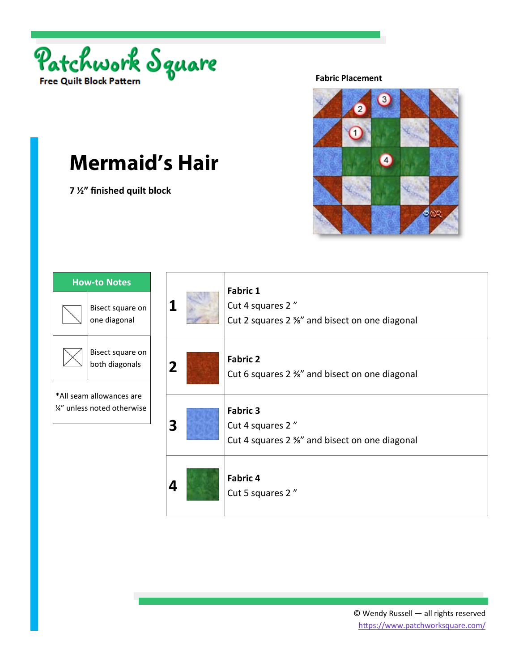

**7 ½" finished quilt block** 

#### **Fabric Placement**



| <b>How-to Notes</b>                                   |                                    |
|-------------------------------------------------------|------------------------------------|
|                                                       | Bisect square on<br>one diagonal   |
|                                                       | Bisect square on<br>both diagonals |
| *All seam allowances are<br>¼" unless noted otherwise |                                    |

|                | <b>Fabric 1</b><br>Cut 4 squares 2"<br>Cut 2 squares 2 %" and bisect on one diagonal |
|----------------|--------------------------------------------------------------------------------------|
| $\overline{2}$ | <b>Fabric 2</b><br>Cut 6 squares 2 %" and bisect on one diagonal                     |
| 3              | <b>Fabric 3</b><br>Cut 4 squares 2"<br>Cut 4 squares 2 %" and bisect on one diagonal |
|                | <b>Fabric 4</b><br>Cut 5 squares 2"                                                  |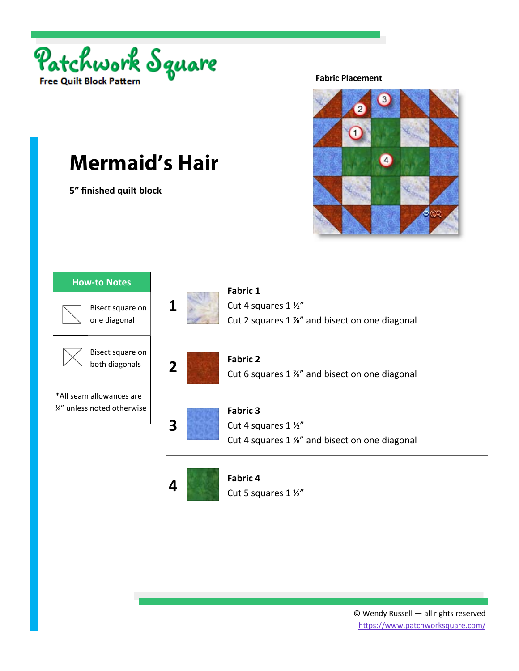

**5" finished quilt block** 

#### **Fabric Placement**



| <b>How-to Notes</b>                                     |                                    |
|---------------------------------------------------------|------------------------------------|
|                                                         | Bisect square on<br>one diagonal   |
|                                                         | Bisect square on<br>both diagonals |
| *All seam allowances are<br>1/4" unless noted otherwise |                                    |
|                                                         |                                    |

|                | <b>Fabric 1</b><br>Cut 4 squares 1 1/2"<br>Cut 2 squares 1 %" and bisect on one diagonal |
|----------------|------------------------------------------------------------------------------------------|
| $\overline{2}$ | <b>Fabric 2</b><br>Cut 6 squares 1 %" and bisect on one diagonal                         |
| 3              | <b>Fabric 3</b><br>Cut 4 squares 1 1/2"<br>Cut 4 squares 1 %" and bisect on one diagonal |
|                | <b>Fabric 4</b><br>Cut 5 squares 1 1/2"                                                  |